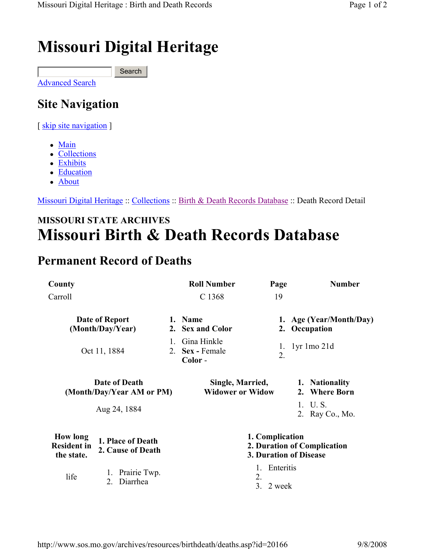# Missouri Digital Heritage

Advanced Search Search

## Site Navigation

[ skip site navigation ]

- Main
- Collections
- Exhibits
- Education
- About

Missouri Digital Heritage :: Collections :: Birth & Death Records Database :: Death Record Detail

### MISSOURI STATE ARCHIVES Missouri Birth & Death Records Database

#### Permanent Record of Deaths

| County                                                                                        |                                |                                                                                 | <b>Roll Number</b>                          |                     | Page                                     | <b>Number</b>                   |
|-----------------------------------------------------------------------------------------------|--------------------------------|---------------------------------------------------------------------------------|---------------------------------------------|---------------------|------------------------------------------|---------------------------------|
| Carroll                                                                                       |                                | C 1368                                                                          |                                             | 19                  |                                          |                                 |
| Date of Report<br>(Month/Day/Year)                                                            |                                | 1. Name<br>2. Sex and Color                                                     |                                             |                     | 1. Age (Year/Month/Day)<br>2. Occupation |                                 |
|                                                                                               | Oct 11, 1884                   | 1.                                                                              | Gina Hinkle<br>2. Sex - Female<br>Color-    |                     | $\mathbf{I}$ .<br>2.                     | lyr 1mo 21d                     |
| <b>Date of Death</b><br>(Month/Day/Year AM or PM)                                             |                                |                                                                                 | Single, Married,<br><b>Widower or Widow</b> |                     |                                          | 1. Nationality<br>2. Where Born |
|                                                                                               | Aug 24, 1884                   |                                                                                 |                                             |                     |                                          | 1. U.S.<br>2. Ray Co., Mo.      |
| <b>How long</b><br>1. Place of Death<br><b>Resident in</b><br>2. Cause of Death<br>the state. |                                | 1. Complication<br>2. Duration of Complication<br><b>3. Duration of Disease</b> |                                             |                     |                                          |                                 |
| life                                                                                          | Prairie Twp.<br>Diarrhea<br>2. |                                                                                 |                                             | 1.<br>2.<br>$3_{-}$ | Enteritis<br>2 week                      |                                 |